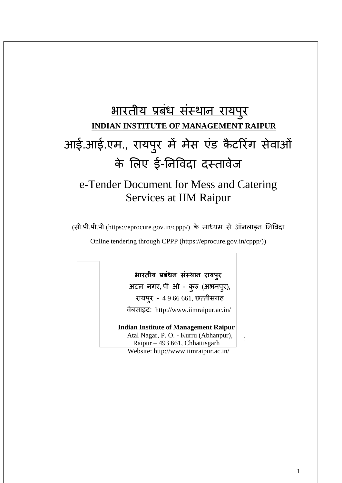# भारतीय प्रबधं संस्थान रायप ुर **INDIAN INSTITUTE OF MANAGEMENT RAIPUR** आई.आई.एम., रायप ुर में मेस एंड कै टररंग सेवाओं के लिए ई-ननववदा दस्तावेज

# e-Tender Document for Mess and Catering Services at IIM Raipur

(सी.पी.पी.पी (https://eprocure.gov.in/cppp/) के माध्यम से ऑनलाइन निविदा

Online tendering through CPPP (https://eprocure.gov.in/cppp/))

### **भारतीय प्रबंधन संस्थान रायपुर**

अटल नगर, पी ओ - कुरु (अभनपुर), रायपुर - 4 9 66 661, छत्तीसगढ़ वेबसाइट: http://www.iimraipur.ac.in/

#### **Indian Institute of Management Raipur**

 Atal Nagar, P. O. - Kurru (Abhanpur), Raipur – 493 661, Chhattisgarh Website:<http://www.iimraipur.ac.in/>

: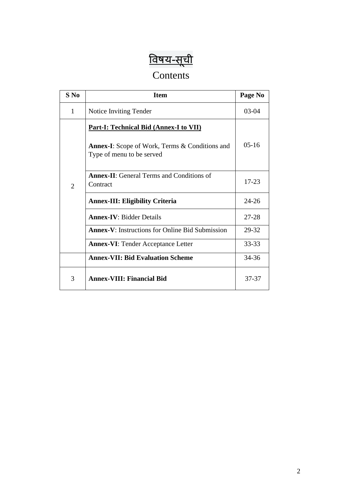# <u>विषय-सूची</u>

# Contents

| $S$ No         | <b>Item</b>                                                                                                                         | Page No   |
|----------------|-------------------------------------------------------------------------------------------------------------------------------------|-----------|
| 1              | Notice Inviting Tender                                                                                                              | $03 - 04$ |
|                | <b>Part-I: Technical Bid (Annex-I to VII)</b><br><b>Annex-I:</b> Scope of Work, Terms & Conditions and<br>Type of menu to be served | $05-16$   |
| $\overline{2}$ | <b>Annex-II:</b> General Terms and Conditions of<br>Contract                                                                        | $17 - 23$ |
|                | <b>Annex-III: Eligibility Criteria</b>                                                                                              | $24 - 26$ |
|                | <b>Annex-IV: Bidder Details</b>                                                                                                     | $27 - 28$ |
|                | <b>Annex-V:</b> Instructions for Online Bid Submission                                                                              | 29-32     |
|                | <b>Annex-VI: Tender Acceptance Letter</b>                                                                                           | $33 - 33$ |
|                | <b>Annex-VII: Bid Evaluation Scheme</b>                                                                                             | 34-36     |
| 3              | <b>Annex-VIII: Financial Bid</b>                                                                                                    | 37-37     |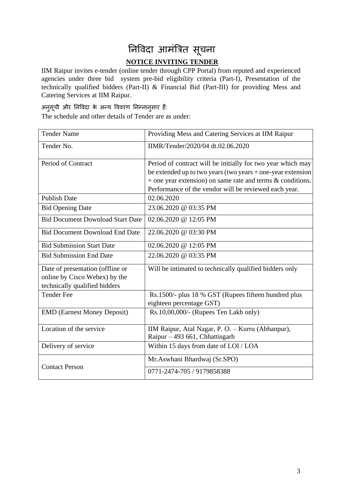# निर्विदा आमंत्रित सूचना **NOTICE INVITING TENDER**

IIM Raipur invites e-tender (online tender through CPP Portal) from reputed and experienced agencies under three bid system pre-bid eligibility criteria (Part-I), Presentation of the technically qualified bidders (Part-II) & Financial Bid (Part-III) for providing Mess and Catering Services at IIM Raipur.

## अनुसूची और ननववदा के अन्य वववरण ननम्नानुसार हैं:

The schedule and other details of Tender are as under:

| <b>Tender Name</b>                                                                                 | Providing Mess and Catering Services at IIM Raipur                                                                                                                                                                                                     |
|----------------------------------------------------------------------------------------------------|--------------------------------------------------------------------------------------------------------------------------------------------------------------------------------------------------------------------------------------------------------|
| Tender No.                                                                                         | IIMR/Tender/2020/04 dt.02.06.2020                                                                                                                                                                                                                      |
| Period of Contract                                                                                 | Period of contract will be initially for two year which may<br>be extended up to two years (two years + one-year extension<br>$+$ one year extension) on same rate and terms $\&$ conditions.<br>Performance of the vendor will be reviewed each year. |
| <b>Publish Date</b>                                                                                | 02.06.2020                                                                                                                                                                                                                                             |
| <b>Bid Opening Date</b>                                                                            | 23.06.2020 @ 03:35 PM                                                                                                                                                                                                                                  |
| <b>Bid Document Download Start Date</b>                                                            | 02.06.2020 @ 12:05 PM                                                                                                                                                                                                                                  |
| <b>Bid Document Download End Date</b>                                                              | 22.06.2020 @ 03:30 PM                                                                                                                                                                                                                                  |
| <b>Bid Submission Start Date</b>                                                                   | 02.06.2020 @ 12:05 PM                                                                                                                                                                                                                                  |
| <b>Bid Submission End Date</b>                                                                     | 22.06.2020 @ 03:35 PM                                                                                                                                                                                                                                  |
| Date of presentation (offline or<br>online by Cisco Webex) by the<br>technically qualified bidders | Will be intimated to technically qualified bidders only                                                                                                                                                                                                |
| <b>Tender Fee</b>                                                                                  | Rs.1500/- plus 18 % GST (Rupees fifteen hundred plus<br>eighteen percentage GST)                                                                                                                                                                       |
| <b>EMD</b> (Earnest Money Deposit)                                                                 | Rs.10,00,000/- (Rupees Ten Lakh only)                                                                                                                                                                                                                  |
| Location of the service                                                                            | IIM Raipur, Atal Nagar, P. O. - Kurru (Abhanpur),<br>Raipur - 493 661, Chhattisgarh                                                                                                                                                                    |
| Delivery of service                                                                                | Within 15 days from date of LOI / LOA                                                                                                                                                                                                                  |
| <b>Contact Person</b>                                                                              | Mr. Aswhani Bhardwaj (Sr. SPO)                                                                                                                                                                                                                         |
|                                                                                                    | 0771-2474-705 / 9179858388                                                                                                                                                                                                                             |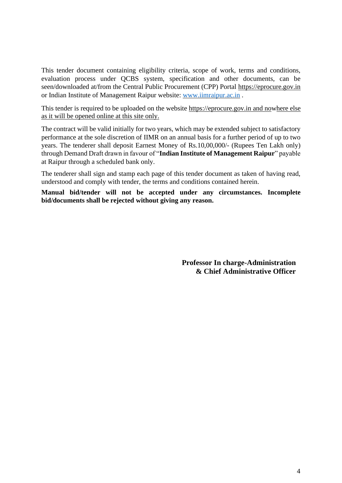This tender document containing eligibility criteria, scope of work, terms and conditions, evaluation process under QCBS system, specification and other documents, can be seen/downloaded at/from the Central Public Procurement (CPP) Portal https://eprocure.gov.in or Indian Institute of Management Raipur website: [www.iimraipur.ac.in](http://www.iimraipur.ac.in/) [.](http://www.iimu.ac.in/)

This tender is required to be uploaded on the website [https://eprocure.gov.in](https://eprocure.gov.in/) [a](https://eprocure.gov.in/)nd nowhere else as it will be opened online at this site only.

The contract will be valid initially for two years, which may be extended subject to satisfactory performance at the sole discretion of IIMR on an annual basis for a further period of up to two years. The tenderer shall deposit Earnest Money of Rs.10,00,000/- (Rupees Ten Lakh only) through Demand Draft drawn in favour of "**Indian Institute of Management Raipur**" payable at Raipur through a scheduled bank only.

The tenderer shall sign and stamp each page of this tender document as taken of having read, understood and comply with tender, the terms and conditions contained herein.

**Manual bid/tender will not be accepted under any circumstances. Incomplete bid/documents shall be rejected without giving any reason.** 

> **Professor In charge-Administration & Chief Administrative Officer**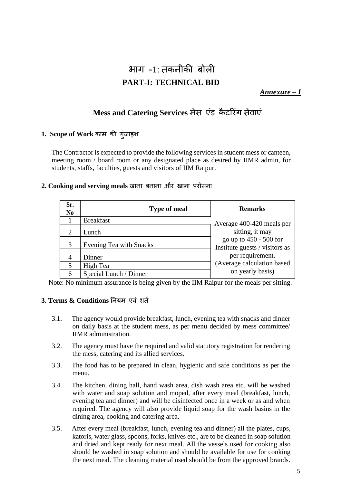# भाग  $-1$ : तकनीकी बोली **PART-I: TECHNICAL BID**

*Annexure – I*

### **Mess and Catering Services** मेस एंड कै टररंग सेवाएं

#### **1. Scope of Work** काम की गुंजाइश

The Contractor is expected to provide the following services in student mess or canteen, meeting room / board room or any designated place as desired by IIMR admin, for students, staffs, faculties, guests and visitors of IIM Raipur.

#### **2. Cooking and serving meals** खाना बनाना और खाना परोसना

| Sr.<br>N <sub>0</sub> | <b>Type of meal</b>            | <b>Remarks</b>                                           |
|-----------------------|--------------------------------|----------------------------------------------------------|
|                       | <b>Breakfast</b>               | Average 400-420 meals per                                |
| 2                     | Lunch                          | sitting, it may                                          |
| 3                     | <b>Evening Tea with Snacks</b> | go up to 450 - 500 for<br>Institute guests / visitors as |
| 4                     | Dinner                         | per requirement.                                         |
| 5                     | High Tea                       | (Average calculation based                               |
| 6                     | Special Lunch / Dinner         | on yearly basis)                                         |

Note: No minimum assurance is being given by the IIM Raipur for the meals per sitting.

#### **3. Terms & Conditions** ननयम एवं शतें

- 3.1. The agency would provide breakfast, lunch, evening tea with snacks and dinner on daily basis at the student mess, as per menu decided by mess committee/ IIMR administration.
- 3.2. The agency must have the required and valid statutory registration for rendering the mess, catering and its allied services.
- 3.3. The food has to be prepared in clean, hygienic and safe conditions as per the menu.
- 3.4. The kitchen, dining hall, hand wash area, dish wash area etc. will be washed with water and soap solution and moped, after every meal (breakfast, lunch, evening tea and dinner) and will be disinfected once in a week or as and when required. The agency will also provide liquid soap for the wash basins in the dining area, cooking and catering area.
- 3.5. After every meal (breakfast, lunch, evening tea and dinner) all the plates, cups, katoris, water glass, spoons, forks, knives etc., are to be cleaned in soap solution and dried and kept ready for next meal. All the vessels used for cooking also should be washed in soap solution and should be available for use for cooking the next meal. The cleaning material used should be from the approved brands.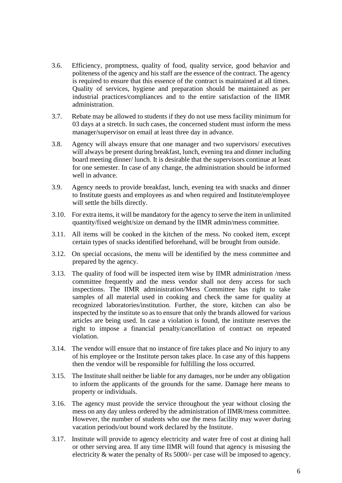- 3.6. Efficiency, promptness, quality of food, quality service, good behavior and politeness of the agency and his staff are the essence of the contract. The agency is required to ensure that this essence of the contract is maintained at all times. Quality of services, hygiene and preparation should be maintained as per industrial practices/compliances and to the entire satisfaction of the IIMR administration.
- 3.7. Rebate may be allowed to students if they do not use mess facility minimum for 03 days at a stretch. In such cases, the concerned student must inform the mess manager/supervisor on email at least three day in advance.
- 3.8. Agency will always ensure that one manager and two supervisors/ executives will always be present during breakfast, lunch, evening tea and dinner including board meeting dinner/ lunch. It is desirable that the supervisors continue at least for one semester. In case of any change, the administration should be informed well in advance.
- 3.9. Agency needs to provide breakfast, lunch, evening tea with snacks and dinner to Institute guests and employees as and when required and Institute/employee will settle the bills directly.
- 3.10. For extra items, it will be mandatory for the agency to serve the item in unlimited quantity/fixed weight/size on demand by the IIMR admin/mess committee.
- 3.11. All items will be cooked in the kitchen of the mess. No cooked item, except certain types of snacks identified beforehand, will be brought from outside.
- 3.12. On special occasions, the menu will be identified by the mess committee and prepared by the agency.
- 3.13. The quality of food will be inspected item wise by IIMR administration /mess committee frequently and the mess vendor shall not deny access for such inspections. The IIMR administration/Mess Committee has right to take samples of all material used in cooking and check the same for quality at recognized laboratories/institution. Further, the store, kitchen can also be inspected by the institute so as to ensure that only the brands allowed for various articles are being used. In case a violation is found, the institute reserves the right to impose a financial penalty/cancellation of contract on repeated violation.
- 3.14. The vendor will ensure that no instance of fire takes place and No injury to any of his employee or the Institute person takes place. In case any of this happens then the vendor will be responsible for fulfilling the loss occurred.
- 3.15. The Institute shall neither be liable for any damages, nor be under any obligation to inform the applicants of the grounds for the same. Damage here means to property or individuals.
- 3.16. The agency must provide the service throughout the year without closing the mess on any day unless ordered by the administration of IIMR/mess committee. However, the number of students who use the mess facility may waver during vacation periods/out bound work declared by the Institute.
- 3.17. Institute will provide to agency electricity and water free of cost at dining hall or other serving area. If any time IIMR will found that agency is misusing the electricity & water the penalty of Rs 5000/- per case will be imposed to agency.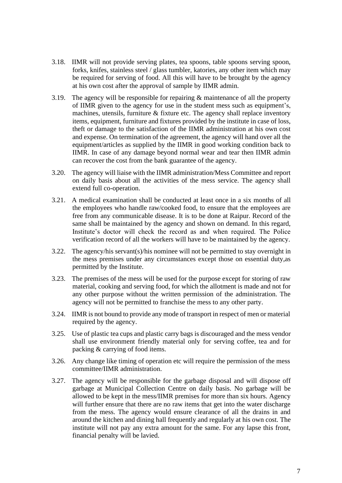- 3.18. IIMR will not provide serving plates, tea spoons, table spoons serving spoon, forks, knifes, stainless steel / glass tumbler, katories, any other item which may be required for serving of food. All this will have to be brought by the agency at his own cost after the approval of sample by IIMR admin.
- 3.19. The agency will be responsible for repairing & maintenance of all the property of IIMR given to the agency for use in the student mess such as equipment's, machines, utensils, furniture & fixture etc. The agency shall replace inventory items, equipment, furniture and fixtures provided by the institute in case of loss, theft or damage to the satisfaction of the IIMR administration at his own cost and expense. On termination of the agreement, the agency will hand over all the equipment/articles as supplied by the IIMR in good working condition back to IIMR. In case of any damage beyond normal wear and tear then IIMR admin can recover the cost from the bank guarantee of the agency.
- 3.20. The agency will liaise with the IIMR administration/Mess Committee and report on daily basis about all the activities of the mess service. The agency shall extend full co-operation.
- 3.21. A medical examination shall be conducted at least once in a six months of all the employees who handle raw/cooked food, to ensure that the employees are free from any communicable disease. It is to be done at Raipur. Record of the same shall be maintained by the agency and shown on demand. In this regard, Institute's doctor will check the record as and when required. The Police verification record of all the workers will have to be maintained by the agency.
- 3.22. The agency/his servant(s)/his nominee will not be permitted to stay overnight in the mess premises under any circumstances except those on essential duty,as permitted by the Institute.
- 3.23. The premises of the mess will be used for the purpose except for storing of raw material, cooking and serving food, for which the allotment is made and not for any other purpose without the written permission of the administration. The agency will not be permitted to franchise the mess to any other party.
- 3.24. IIMR is not bound to provide any mode of transport in respect of men or material required by the agency.
- 3.25. Use of plastic tea cups and plastic carry bags is discouraged and the mess vendor shall use environment friendly material only for serving coffee, tea and for packing & carrying of food items.
- 3.26. Any change like timing of operation etc will require the permission of the mess committee/IIMR administration.
- 3.27. The agency will be responsible for the garbage disposal and will dispose off garbage at Municipal Collection Centre on daily basis. No garbage will be allowed to be kept in the mess/IIMR premises for more than six hours. Agency will further ensure that there are no raw items that get into the water discharge from the mess. The agency would ensure clearance of all the drains in and around the kitchen and dining hall frequently and regularly at his own cost. The institute will not pay any extra amount for the same. For any lapse this front, financial penalty will be lavied.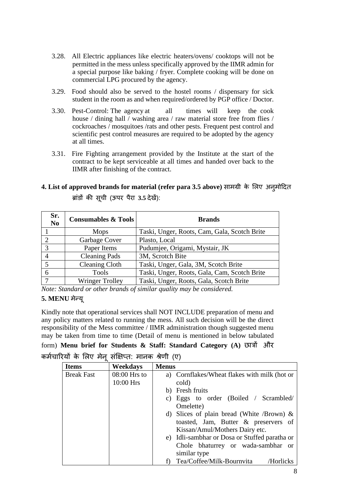- 3.28. All Electric appliances like electric heaters/ovens/ cooktops will not be permitted in the mess unless specifically approved by the IIMR admin for a special purpose like baking / fryer. Complete cooking will be done on commercial LPG procured by the agency.
- 3.29. Food should also be served to the hostel rooms / dispensary for sick student in the room as and when required/ordered by PGP office / Doctor.
- 3.30. Pest-Control: The agency at all times will keep the cook house / dining hall / washing area / raw material store free from flies / cockroaches / mosquitoes /rats and other pests. Frequent pest control and scientific pest control measures are required to be adopted by the agency at all times.
- 3.31. Fire Fighting arrangement provided by the Institute at the start of the contract to be kept serviceable at all times and handed over back to the IIMR after finishing of the contract.

### **4. List of approved brands for material (refer para 3.5 above)** सामग्री के लिए अनुमोददत ब्ांडों की सूची (ऊपर पैरा **3.5** देखें):

| Sr.<br>N <sub>0</sub> | <b>Consumables &amp; Tools</b> | <b>Brands</b>                                |
|-----------------------|--------------------------------|----------------------------------------------|
|                       | <b>Mops</b>                    | Taski, Unger, Roots, Cam, Gala, Scotch Brite |
|                       | Garbage Cover                  | Plasto, Local                                |
| 3                     | Paper Items                    | Pudumjee, Origami, Mystair, JK               |
|                       | <b>Cleaning Pads</b>           | 3M, Scrotch Bite                             |
|                       | <b>Cleaning Cloth</b>          | Taski, Unger, Gala, 3M, Scotch Brite         |
|                       | <b>Tools</b>                   | Taski, Unger, Roots, Gala, Cam, Scotch Brite |
| $\overline{7}$        | <b>Wringer Trolley</b>         | Taski, Unger, Roots, Gala, Scotch Brite      |

*Note: Standard or other brands of similar quality may be considered.*

#### **5. MENU** मेन्यू

Kindly note that operational services shall NOT INCLUDE preparation of menu and any policy matters related to running the mess. All such decision will be the direct responsibility of the Mess committee / IIMR administration though suggested menu may be taken from time to time (Detail of menu is mentioned in below tabulated

```
form) Menu brief for Students & Staff: Standard Category (A) छािों और
कर्मचारियों के लिए मेन संक्षिप्त: मानक श्रेणी (ए)
```

| <b>Items</b>      | Weekdays       | <b>Menus</b>                                  |
|-------------------|----------------|-----------------------------------------------|
| <b>Break Fast</b> | $08:00$ Hrs to | a) Cornflakes/Wheat flakes with milk (hot or  |
|                   | 10:00 Hrs      | cold)                                         |
|                   |                | b) Fresh fruits                               |
|                   |                | c) Eggs to order (Boiled / Scrambled/         |
|                   |                | Omelette)                                     |
|                   |                | d) Slices of plain bread (White /Brown) $\&$  |
|                   |                | toasted, Jam, Butter & preservers of          |
|                   |                | Kissan/Amul/Mothers Dairy etc.                |
|                   |                | e) Idli-sambhar or Dosa or Stuffed paratha or |
|                   |                | Chole bhaturrey or wada-sambhar or            |
|                   |                | similar type                                  |
|                   |                | Tea/Coffee/Milk-Bournvita<br>/Horlicks        |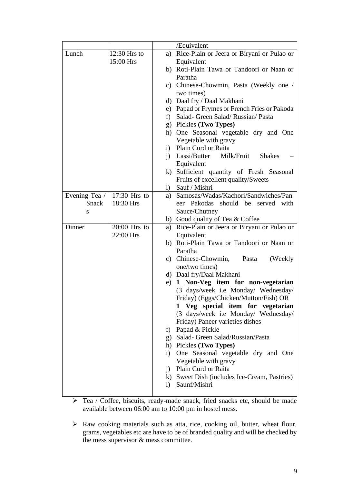|               |                |                        | /Equivalent                                                  |
|---------------|----------------|------------------------|--------------------------------------------------------------|
| Lunch         | 12:30 Hrs to   |                        | a) Rice-Plain or Jeera or Biryani or Pulao or                |
|               | 15:00 Hrs      |                        | Equivalent                                                   |
|               |                |                        | b) Roti-Plain Tawa or Tandoori or Naan or                    |
|               |                |                        | Paratha                                                      |
|               |                |                        | c) Chinese-Chowmin, Pasta (Weekly one /                      |
|               |                |                        | two times)                                                   |
|               |                |                        | d) Daal fry / Daal Makhani                                   |
|               |                |                        | e) Papad or Frymes or French Fries or Pakoda                 |
|               |                | f)                     | Salad- Green Salad/Russian/Pasta                             |
|               |                |                        | g) Pickles (Two Types)                                       |
|               |                |                        | h) One Seasonal vegetable dry and One                        |
|               |                |                        | Vegetable with gravy                                         |
|               |                | $\left( i\right)$      | Plain Curd or Raita                                          |
|               |                |                        | i) Lassi/Butter<br>Milk/Fruit<br><b>Shakes</b>               |
|               |                |                        | Equivalent                                                   |
|               |                |                        | k) Sufficient quantity of Fresh Seasonal                     |
|               |                |                        | Fruits of excellent quality/Sweets                           |
|               |                |                        | 1) Sauf / Mishri                                             |
| Evening Tea / | $17:30$ Hrs to |                        | a) Samosas/Wadas/Kachori/Sandwiches/Pan                      |
| Snack         | 18:30 Hrs      |                        | eer Pakodas should be served with                            |
| S             |                |                        | Sauce/Chutney                                                |
|               |                |                        | b) Good quality of Tea & Coffee                              |
| Dinner        | $20:00$ Hrs to | a)                     | Rice-Plain or Jeera or Biryani or Pulao or                   |
|               | 22:00 Hrs      |                        | Equivalent                                                   |
|               |                |                        | b) Roti-Plain Tawa or Tandoori or Naan or                    |
|               |                |                        | Paratha                                                      |
|               |                |                        | c) Chinese-Chowmin, Pasta<br>(Weekly)                        |
|               |                |                        | one/two times)                                               |
|               |                |                        | d) Daal fry/Daal Makhani                                     |
|               |                |                        | e) 1 Non-Veg item for non-vegetarian                         |
|               |                |                        | (3 days/week i.e Monday/ Wednesday/                          |
|               |                |                        | Friday) (Eggs/Chicken/Mutton/Fish) OR                        |
|               |                |                        | Veg special item for vegetarian<br>1                         |
|               |                |                        | (3 days/week i.e Monday/ Wednesday/                          |
|               |                |                        | Friday) Paneer varieties dishes                              |
|               |                | f)                     | Papad & Pickle                                               |
|               |                |                        | g) Salad- Green Salad/Russian/Pasta                          |
|               |                |                        | h) Pickles (Two Types)                                       |
|               |                |                        | i) One Seasonal vegetable dry and One                        |
|               |                |                        | Vegetable with gravy                                         |
|               |                | i)                     | Plain Curd or Raita                                          |
|               |                | $\left  \right\rangle$ | k) Sweet Dish (includes Ice-Cream, Pastries)<br>Saunf/Mishri |
|               |                |                        |                                                              |

➢ Tea / Coffee, biscuits, ready-made snack, fried snacks etc, should be made available between 06:00 am to 10:00 pm in hostel mess.

➢ Raw cooking materials such as atta, rice, cooking oil, butter, wheat flour, grams, vegetables etc are have to be of branded quality and will be checked by the mess supervisor & mess committee.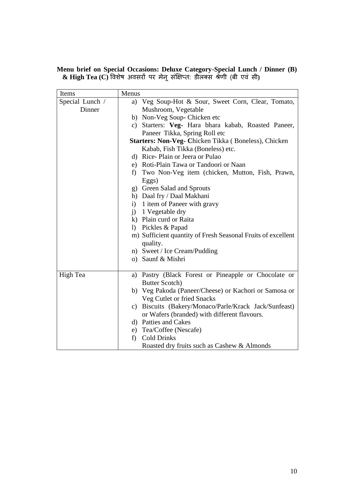**Menu brief on Special Occasions: Deluxe Category-Special Lunch / Dinner (B) & High Tea (C)** ववशेष अवसरों पर मेनूसंक्षिप्त: डीिक्स श्रेणी (बी एवं सी**)**

| Items           | Menus                                                                    |
|-----------------|--------------------------------------------------------------------------|
| Special Lunch / | a) Veg Soup-Hot & Sour, Sweet Corn, Clear, Tomato,                       |
| Dinner          | Mushroom, Vegetable                                                      |
|                 | b) Non-Veg Soup- Chicken etc                                             |
|                 | c) Starters: Veg- Hara bhara kabab, Roasted Paneer,                      |
|                 | Paneer Tikka, Spring Roll etc                                            |
|                 | Starters: Non-Veg- Chicken Tikka (Boneless), Chicken                     |
|                 | Kabab, Fish Tikka (Boneless) etc.                                        |
|                 | d) Rice-Plain or Jeera or Pulao                                          |
|                 | e) Roti-Plain Tawa or Tandoori or Naan                                   |
|                 | Two Non-Veg item (chicken, Mutton, Fish, Prawn,<br>f)                    |
|                 | Eggs)                                                                    |
|                 | g) Green Salad and Sprouts                                               |
|                 | h) Daal fry / Daal Makhani                                               |
|                 | 1 item of Paneer with gravy<br>i)                                        |
|                 | i) 1 Vegetable dry                                                       |
|                 | k) Plain curd or Raita                                                   |
|                 | 1) Pickles & Papad                                                       |
|                 | m) Sufficient quantity of Fresh Seasonal Fruits of excellent<br>quality. |
|                 | n) Sweet / Ice Cream/Pudding                                             |
|                 | o) Saunf & Mishri                                                        |
|                 |                                                                          |
| High Tea        | a) Pastry (Black Forest or Pineapple or Chocolate or                     |
|                 | <b>Butter Scotch)</b>                                                    |
|                 | b) Veg Pakoda (Paneer/Cheese) or Kachori or Samosa or                    |
|                 | Veg Cutlet or fried Snacks                                               |
|                 | c) Biscuits (Bakery/Monaco/Parle/Krack Jack/Sunfeast)                    |
|                 | or Wafers (branded) with different flavours.                             |
|                 | d) Patties and Cakes                                                     |
|                 | e) Tea/Coffee (Nescafe)                                                  |
|                 | <b>Cold Drinks</b><br>f)                                                 |
|                 | Roasted dry fruits such as Cashew & Almonds                              |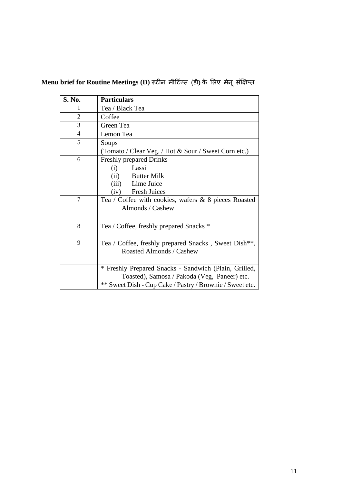| S. No.         | <b>Particulars</b>                                       |
|----------------|----------------------------------------------------------|
| 1              | Tea / Black Tea                                          |
| $\overline{2}$ | Coffee                                                   |
| 3              | Green Tea                                                |
| 4              | Lemon Tea                                                |
| 5              | Soups                                                    |
|                | (Tomato / Clear Veg. / Hot & Sour / Sweet Corn etc.)     |
| 6              | <b>Freshly prepared Drinks</b>                           |
|                | Lassi<br>(i)                                             |
|                | (ii)<br><b>Butter Milk</b>                               |
|                | (iii) Lime Juice                                         |
|                | <b>Fresh Juices</b><br>(iv)                              |
| 7              | Tea / Coffee with cookies, wafers $\&$ 8 pieces Roasted  |
|                | Almonds / Cashew                                         |
|                |                                                          |
| 8              | Tea / Coffee, freshly prepared Snacks *                  |
|                |                                                          |
| 9              | Tea / Coffee, freshly prepared Snacks, Sweet Dish**,     |
|                | Roasted Almonds / Cashew                                 |
|                |                                                          |
|                | * Freshly Prepared Snacks - Sandwich (Plain, Grilled,    |
|                | Toasted), Samosa / Pakoda (Veg, Paneer) etc.             |
|                | ** Sweet Dish - Cup Cake / Pastry / Brownie / Sweet etc. |

# **Menu brief for Routine Meetings (D)** रूटीन मीदटंग्स (डी**)** के लिए मेनूसंक्षिप्त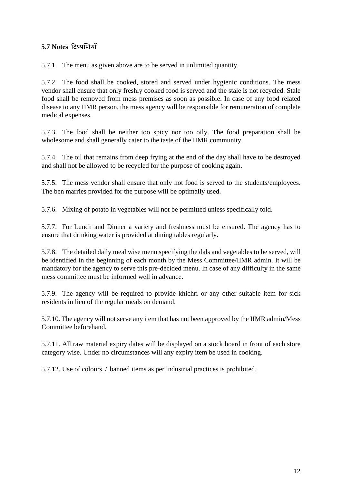#### **5.7 Notes** दटप्पणणयााँ

5.7.1. The menu as given above are to be served in unlimited quantity.

5.7.2. The food shall be cooked, stored and served under hygienic conditions. The mess vendor shall ensure that only freshly cooked food is served and the stale is not recycled. Stale food shall be removed from mess premises as soon as possible. In case of any food related disease to any IIMR person, the mess agency will be responsible for remuneration of complete medical expenses.

5.7.3. The food shall be neither too spicy nor too oily. The food preparation shall be wholesome and shall generally cater to the taste of the IIMR community.

5.7.4. The oil that remains from deep frying at the end of the day shall have to be destroyed and shall not be allowed to be recycled for the purpose of cooking again.

5.7.5. The mess vendor shall ensure that only hot food is served to the students/employees. The ben marries provided for the purpose will be optimally used**.**

5.7.6. Mixing of potato in vegetables will not be permitted unless specifically told.

5.7.7. For Lunch and Dinner a variety and freshness must be ensured. The agency has to ensure that drinking water is provided at dining tables regularly.

5.7.8. The detailed daily meal wise menu specifying the dals and vegetables to be served, will be identified in the beginning of each month by the Mess Committee/IIMR admin. It will be mandatory for the agency to serve this pre-decided menu. In case of any difficulty in the same mess committee must be informed well in advance.

5.7.9. The agency will be required to provide khichri or any other suitable item for sick residents in lieu of the regular meals on demand.

5.7.10. The agency will not serve any item that has not been approved by the IIMR admin/Mess Committee beforehand.

5.7.11. All raw material expiry dates will be displayed on a stock board in front of each store category wise. Under no circumstances will any expiry item be used in cooking.

5.7.12. Use of colours / banned items as per industrial practices is prohibited.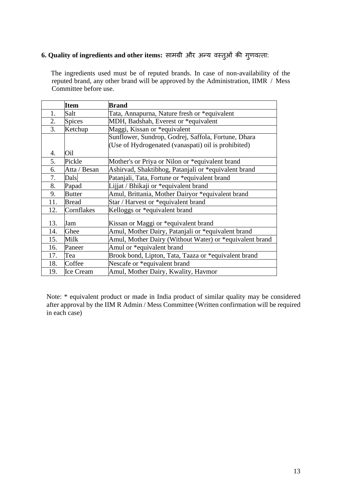# **6. Quality of ingredients and other items:** सामग्री और अन्य वस्तुओं की गुणवत्ता:

 The ingredients used must be of reputed brands. In case of non-availability of the reputed brand, any other brand will be approved by the Administration, IIMR / Mess Committee before use.

|     | <b>Item</b>      | <b>Brand</b>                                            |  |
|-----|------------------|---------------------------------------------------------|--|
| 1.  | Salt             | Tata, Annapurna, Nature fresh or *equivalent            |  |
| 2.  | <b>Spices</b>    | MDH, Badshah, Everest or *equivalent                    |  |
| 3.  | Ketchup          | Maggi, Kissan or *equivalent                            |  |
|     |                  | Sunflower, Sundrop, Godrej, Saffola, Fortune, Dhara     |  |
|     |                  | (Use of Hydrogenated (vanaspati) oil is prohibited)     |  |
| 4.  | Oil              |                                                         |  |
| 5.  | Pickle           | Mother's or Priya or Nilon or *equivalent brand         |  |
| 6.  | Atta / Besan     | Ashirvad, Shaktibhog, Patanjali or *equivalent brand    |  |
| 7.  | Dals             | Patanjali, Tata, Fortune or *equivalent brand           |  |
| 8.  | Papad            | Lijjat / Bhikaji or *equivalent brand                   |  |
| 9.  | <b>Butter</b>    | Amul, Brittania, Mother Dairyor *equivalent brand       |  |
| 11. | <b>Bread</b>     | Star / Harvest or *equivalent brand                     |  |
| 12. | Cornflakes       | Kelloggs or *equivalent brand                           |  |
| 13. | Jam              | Kissan or Maggi or *equivalent brand                    |  |
| 14. | Ghee             | Amul, Mother Dairy, Patanjali or *equivalent brand      |  |
| 15. | Milk             | Amul, Mother Dairy (Without Water) or *equivalent brand |  |
| 16. | Paneer           | Amul or *equivalent brand                               |  |
| 17. | Tea              | Brook bond, Lipton, Tata, Taaza or *equivalent brand    |  |
| 18. | Coffee           | Nescafe or *equivalent brand                            |  |
| 19. | <b>Ice Cream</b> | Amul, Mother Dairy, Kwality, Havmor                     |  |

Note: \* equivalent product or made in India product of similar quality may be considered after approval by the IIM R Admin / Mess Committee (Written confirmation will be required in each case)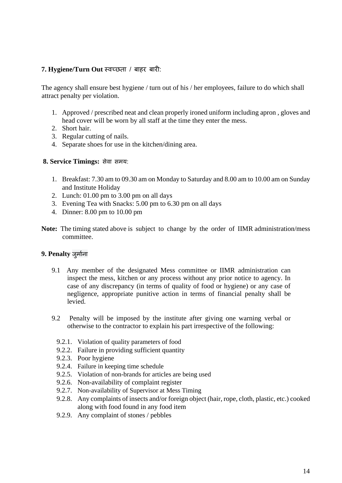#### **7. Hygiene/Turn Out** स्वच्छता / बाहर बारी:

The agency shall ensure best hygiene / turn out of his / her employees, failure to do which shall attract penalty per violation.

- 1. Approved / prescribed neat and clean properly ironed uniform including apron , gloves and head cover will be worn by all staff at the time they enter the mess.
- 2. Short hair.
- 3. Regular cutting of nails.
- 4. Separate shoes for use in the kitchen/dining area.

#### **8. Service Timings:** सेवा समय:

- 1. Breakfast: 7.30 am to 09.30 am on Monday to Saturday and 8.00 am to 10.00 am on Sunday and Institute Holiday
- 2. Lunch: 01.00 pm to 3.00 pm on all days
- 3. Evening Tea with Snacks: 5.00 pm to 6.30 pm on all days
- 4. Dinner: 8.00 pm to 10.00 pm
- **Note:** The timing stated above is subject to change by the order of IIMR administration/mess committee.

#### **9. Penalty** जुमामना

- 9.1 Any member of the designated Mess committee or IIMR administration can inspect the mess, kitchen or any process without any prior notice to agency. In case of any discrepancy (in terms of quality of food or hygiene) or any case of negligence, appropriate punitive action in terms of financial penalty shall be levied.
- 9.2 Penalty will be imposed by the institute after giving one warning verbal or otherwise to the contractor to explain his part irrespective of the following:
	- 9.2.1. Violation of quality parameters of food
	- 9.2.2. Failure in providing sufficient quantity
	- 9.2.3. Poor hygiene
	- 9.2.4. Failure in keeping time schedule
	- 9.2.5. Violation of non-brands for articles are being used
	- 9.2.6. Non-availability of complaint register
	- 9.2.7. Non-availability of Supervisor at Mess Timing
	- 9.2.8. Any complaints of insects and/or foreign object (hair, rope, cloth, plastic, etc.) cooked along with food found in any food item
	- 9.2.9. Any complaint of stones / pebbles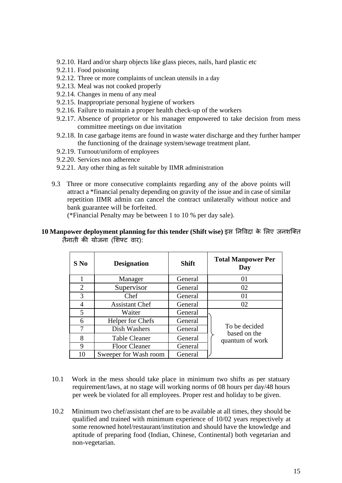- 9.2.10. Hard and/or sharp objects like glass pieces, nails, hard plastic etc
- 9.2.11. Food poisoning
- 9.2.12. Three or more complaints of unclean utensils in a day
- 9.2.13. Meal was not cooked properly
- 9.2.14. Changes in menu of any meal
- 9.2.15. Inappropriate personal hygiene of workers
- 9.2.16. Failure to maintain a proper health check-up of the workers
- 9.2.17. Absence of proprietor or his manager empowered to take decision from mess committee meetings on due invitation
- 9.2.18. In case garbage items are found in waste water discharge and they further hamper the functioning of the drainage system/sewage treatment plant.
- 9.2.19. Turnout/uniform of employees
- 9.2.20. Services non adherence
- 9.2.21. Any other thing as felt suitable by IIMR administration
- 9.3 Three or more consecutive complaints regarding any of the above points will attract a \*financial penalty depending on gravity of the issue and in case of similar repetition IIMR admin can cancel the contract unilaterally without notice and bank guarantee will be forfeited.

(\*Financial Penalty may be between 1 to 10 % per day sale).

#### **10 Manpower deployment planning for this tender (Shift wise)** इस ननववदा के लिए जनशक्क्त तैनाती की योजना (लशफ्ट वार):

| $S$ No         | <b>Designation</b>    | <b>Shift</b> | <b>Total Manpower Per</b><br>Day |
|----------------|-----------------------|--------------|----------------------------------|
|                | Manager               | General      | 01                               |
| $\overline{2}$ | Supervisor            | General      | 02                               |
| 3              | Chef                  | General      | 01                               |
| 4              | <b>Assistant Chef</b> | General      | 02                               |
| 5              | Waiter                | General      |                                  |
| 6              | Helper for Chefs      | General      |                                  |
| 7              | Dish Washers          | General      | To be decided<br>based on the    |
| 8              | <b>Table Cleaner</b>  | General      | quantum of work                  |
| 9              | <b>Floor Cleaner</b>  | General      |                                  |
| 10             | Sweeper for Wash room | General      |                                  |

- 10.1 Work in the mess should take place in minimum two shifts as per statuary requirement/laws, at no stage will working norms of 08 hours per day/48 hours per week be violated for all employees. Proper rest and holiday to be given.
- 10.2 Minimum two chef/assistant chef are to be available at all times, they should be qualified and trained with minimum experience of 10/02 years respectively at some renowned hotel/restaurant/institution and should have the knowledge and aptitude of preparing food (Indian, Chinese, Continental) both vegetarian and non-vegetarian.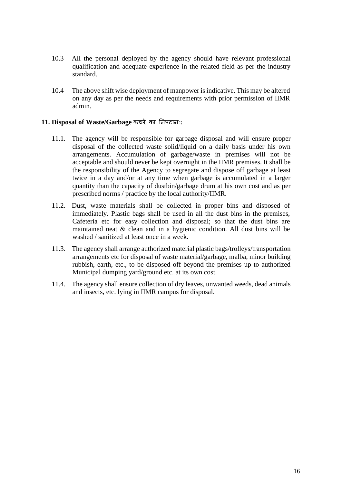- 10.3 All the personal deployed by the agency should have relevant professional qualification and adequate experience in the related field as per the industry standard.
- 10.4 The above shift wise deployment of manpower is indicative. This may be altered on any day as per the needs and requirements with prior permission of IIMR admin.

#### **11. Disposal of Waste/Garbage** कचरे का ननपटान:**:**

- 11.1. The agency will be responsible for garbage disposal and will ensure proper disposal of the collected waste solid/liquid on a daily basis under his own arrangements. Accumulation of garbage/waste in premises will not be acceptable and should never be kept overnight in the IIMR premises. It shall be the responsibility of the Agency to segregate and dispose off garbage at least twice in a day and/or at any time when garbage is accumulated in a larger quantity than the capacity of dustbin/garbage drum at his own cost and as per prescribed norms / practice by the local authority/IIMR.
- 11.2. Dust, waste materials shall be collected in proper bins and disposed of immediately. Plastic bags shall be used in all the dust bins in the premises, Cafeteria etc for easy collection and disposal; so that the dust bins are maintained neat & clean and in a hygienic condition. All dust bins will be washed / sanitized at least once in a week.
- 11.3. The agency shall arrange authorized material plastic bags/trolleys/transportation arrangements etc for disposal of waste material/garbage, malba, minor building rubbish, earth, etc., to be disposed off beyond the premises up to authorized Municipal dumping yard/ground etc. at its own cost.
- 11.4. The agency shall ensure collection of dry leaves, unwanted weeds, dead animals and insects, etc. lying in IIMR campus for disposal.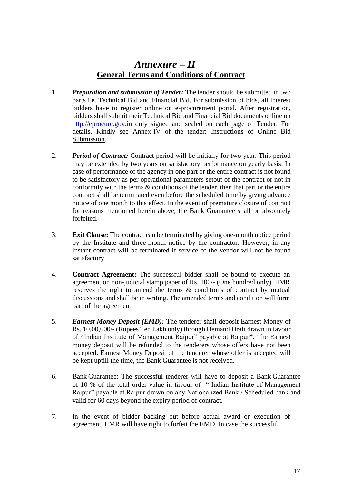## *Annexure – II* **General Terms and Conditions of Contract**

- 1. *Preparation and submission of Tender:* The tender should be submitted in two parts i.e. Technical Bid and Financial Bid. For submission of bids, all interest bidders have to register online on e-procurement portal. After registration, bidders shall submit their Technical Bid and Financial Bid documents online on [http://eprocure.gov.in](http://eprocure.gov.in/) duly signed and sealed on each page of Tender. For details, Kindly see Annex-IV of the tender: Instructions of Online Bid Submission.
- 2. *Period of Contract:* Contract period will be initially for two year. This period may be extended by two years on satisfactory performance on yearly basis. In case of performance of the agency in one part or the entire contract is not found to be satisfactory as per operational parameters setout of the contract or not in conformity with the terms  $\&$  conditions of the tender, then that part or the entire contract shall be terminated even before the scheduled time by giving advance notice of one month to this effect. In the event of premature closure of contract for reasons mentioned herein above, the Bank Guarantee shall be absolutely forfeited.
- 3. **Exit Clause:** The contract can be terminated by giving one-month notice period by the Institute and three-month notice by the contractor. However, in any instant contract will be terminated if service of the vendor will not be found satisfactory.
- 4. **Contract Agreement:** The successful bidder shall be bound to execute an agreement on non-judicial stamp paper of Rs. 100/- (One hundred only). IIMR reserves the right to amend the terms & conditions of contract by mutual discussions and shall be in writing. The amended terms and condition will form part of the agreement.
- 5. *Earnest Money Deposit (EMD):* The tenderer shall deposit Earnest Money of Rs. 10,00,000/- (Rupees Ten Lakh only) through Demand Draft drawn in favour of **"**Indian Institute of Management Raipur" payable at Raipur**"**. The Earnest money deposit will be refunded to the tenderers whose offers have not been accepted. Earnest Money Deposit of the tenderer whose offer is accepted will be kept uptill the time, the Bank Guarantee is not received.
- 6. Bank Guarantee: The successful tenderer will have to deposit a Bank Guarantee of 10 % of the total order value in favour of " Indian Institute of Management Raipur" payable at Raipur drawn on any Nationalized Bank / Scheduled bank and valid for 60 days beyond the expiry period of contract.
- 7. In the event of bidder backing out before actual award or execution of agreement, IIMR will have right to forfeit the EMD. In case the successful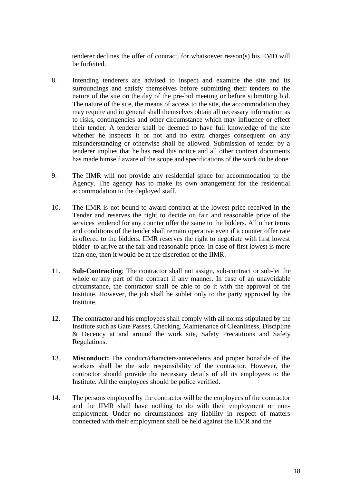tenderer declines the offer of contract, for whatsoever reason(s) his EMD will be forfeited.

- 8. Intending tenderers are advised to inspect and examine the site and its surroundings and satisfy themselves before submitting their tenders to the nature of the site on the day of the pre-bid meeting or before submitting bid. The nature of the site, the means of access to the site, the accommodation they may require and in general shall themselves obtain all necessary information as to risks, contingencies and other circumstance which may influence or effect their tender. A tenderer shall be deemed to have full knowledge of the site whether he inspects it or not and no extra charges consequent on any misunderstanding or otherwise shall be allowed. Submission of tender by a tenderer implies that he has read this notice and all other contract documents has made himself aware of the scope and specifications of the work do be done.
- 9. The IIMR will not provide any residential space for accommodation to the Agency. The agency has to make its own arrangement for the residential accommodation to the deployed staff.
- 10. The IIMR is not bound to award contract at the lowest price received in the Tender and reserves the right to decide on fair and reasonable price of the services tendered for any counter offer the same to the bidders. All other terms and conditions of the tender shall remain operative even if a counter offer rate is offered to the bidders. IIMR reserves the right to negotiate with first lowest bidder to arrive at the fair and reasonable price. In case of first lowest is more than one, then it would be at the discretion of the IIMR.
- 11. **Sub-Contracting**: The contractor shall not assign, sub-contract or sub-let the whole or any part of the contract if any manner. In case of an unavoidable circumstance, the contractor shall be able to do it with the approval of the Institute. However, the job shall be sublet only to the party approved by the Institute.
- 12. The contractor and his employees shall comply with all norms stipulated by the Institute such as Gate Passes, Checking, Maintenance of Cleanliness, Discipline & Decency at and around the work site, Safety Precautions and Safety Regulations.
- 13. **Misconduct:** The conduct/characters/antecedents and proper bonafide of the workers shall be the sole responsibility of the contractor. However, the contractor should provide the necessary details of all its employees to the Institute. All the employees should be police verified.
- 14. The persons employed by the contractor will be the employees of the contractor and the IIMR shall have nothing to do with their employment or nonemployment. Under no circumstances any liability in respect of matters connected with their employment shall be held against the IIMR and the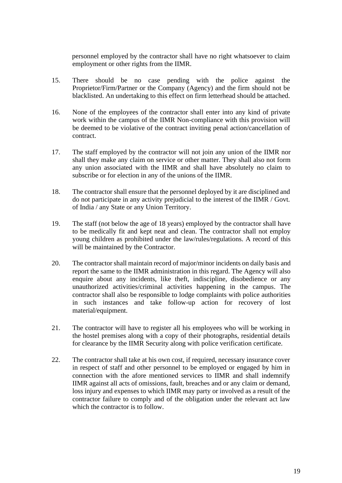personnel employed by the contractor shall have no right whatsoever to claim employment or other rights from the IIMR.

- 15. There should be no case pending with the police against the Proprietor/Firm/Partner or the Company (Agency) and the firm should not be blacklisted. An undertaking to this effect on firm letterhead should be attached.
- 16. None of the employees of the contractor shall enter into any kind of private work within the campus of the IIMR Non-compliance with this provision will be deemed to be violative of the contract inviting penal action/cancellation of contract.
- 17. The staff employed by the contractor will not join any union of the IIMR nor shall they make any claim on service or other matter. They shall also not form any union associated with the IIMR and shall have absolutely no claim to subscribe or for election in any of the unions of the IIMR.
- 18. The contractor shall ensure that the personnel deployed by it are disciplined and do not participate in any activity prejudicial to the interest of the IIMR / Govt. of India / any State or any Union Territory.
- 19. The staff (not below the age of 18 years) employed by the contractor shall have to be medically fit and kept neat and clean. The contractor shall not employ young children as prohibited under the law/rules/regulations. A record of this will be maintained by the Contractor.
- 20. The contractor shall maintain record of major/minor incidents on daily basis and report the same to the IIMR administration in this regard. The Agency will also enquire about any incidents, like theft, indiscipline, disobedience or any unauthorized activities/criminal activities happening in the campus. The contractor shall also be responsible to lodge complaints with police authorities in such instances and take follow-up action for recovery of lost material/equipment.
- 21. The contractor will have to register all his employees who will be working in the hostel premises along with a copy of their photographs, residential details for clearance by the IIMR Security along with police verification certificate.
- 22. The contractor shall take at his own cost, if required, necessary insurance cover in respect of staff and other personnel to be employed or engaged by him in connection with the afore mentioned services to IIMR and shall indemnify IIMR against all acts of omissions, fault, breaches and or any claim or demand, loss injury and expenses to which IIMR may party or involved as a result of the contractor failure to comply and of the obligation under the relevant act law which the contractor is to follow.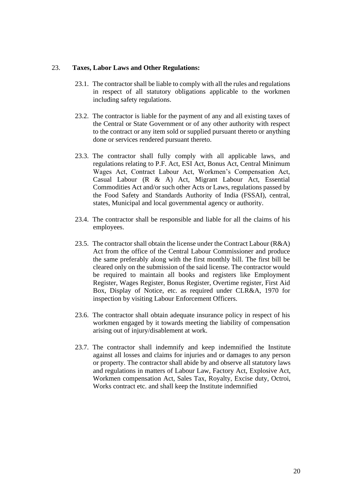#### 23. **Taxes, Labor Laws and Other Regulations:**

- 23.1. The contractor shall be liable to comply with all the rules and regulations in respect of all statutory obligations applicable to the workmen including safety regulations.
- 23.2. The contractor is liable for the payment of any and all existing taxes of the Central or State Government or of any other authority with respect to the contract or any item sold or supplied pursuant thereto or anything done or services rendered pursuant thereto.
- 23.3. The contractor shall fully comply with all applicable laws, and regulations relating to P.F. Act, ESI Act, Bonus Act, Central Minimum Wages Act, Contract Labour Act, Workmen's Compensation Act, Casual Labour (R & A) Act, Migrant Labour Act, Essential Commodities Act and/or such other Acts or Laws, regulations passed by the Food Safety and Standards Authority of India (FSSAI), central, states, Municipal and local governmental agency or authority.
- 23.4. The contractor shall be responsible and liable for all the claims of his employees.
- 23.5. The contractor shall obtain the license under the Contract Labour  $(R&A)$ Act from the office of the Central Labour Commissioner and produce the same preferably along with the first monthly bill. The first bill be cleared only on the submission of the said license. The contractor would be required to maintain all books and registers like Employment Register, Wages Register, Bonus Register, Overtime register, First Aid Box, Display of Notice, etc. as required under CLR&A, 1970 for inspection by visiting Labour Enforcement Officers.
- 23.6. The contractor shall obtain adequate insurance policy in respect of his workmen engaged by it towards meeting the liability of compensation arising out of injury/disablement at work.
- 23.7. The contractor shall indemnify and keep indemnified the Institute against all losses and claims for injuries and or damages to any person or property. The contractor shall abide by and observe all statutory laws and regulations in matters of Labour Law, Factory Act, Explosive Act, Workmen compensation Act, Sales Tax, Royalty, Excise duty, Octroi, Works contract etc. and shall keep the Institute indemnified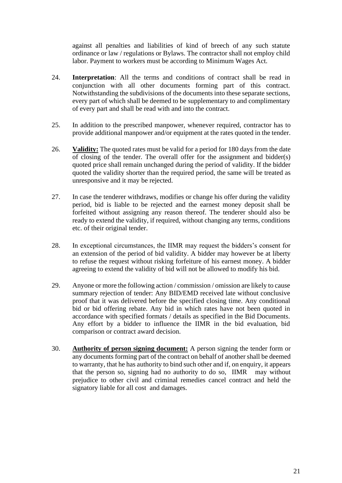against all penalties and liabilities of kind of breech of any such statute ordinance or law / regulations or Bylaws. The contractor shall not employ child labor. Payment to workers must be according to Minimum Wages Act.

- 24. **Interpretation**: All the terms and conditions of contract shall be read in conjunction with all other documents forming part of this contract. Notwithstanding the subdivisions of the documents into these separate sections, every part of which shall be deemed to be supplementary to and complimentary of every part and shall be read with and into the contract.
- 25. In addition to the prescribed manpower, whenever required, contractor has to provide additional manpower and/or equipment at the rates quoted in the tender.
- 26. **Validity:** The quoted rates must be valid for a period for 180 days from the date of closing of the tender. The overall offer for the assignment and bidder(s) quoted price shall remain unchanged during the period of validity. If the bidder quoted the validity shorter than the required period, the same will be treated as unresponsive and it may be rejected.
- 27. In case the tenderer withdraws, modifies or change his offer during the validity period, bid is liable to be rejected and the earnest money deposit shall be forfeited without assigning any reason thereof. The tenderer should also be ready to extend the validity, if required, without changing any terms, conditions etc. of their original tender.
- 28. In exceptional circumstances, the IIMR may request the bidders's consent for an extension of the period of bid validity. A bidder may however be at liberty to refuse the request without risking forfeiture of his earnest money. A bidder agreeing to extend the validity of bid will not be allowed to modify his bid.
- 29. Anyone or more the following action / commission / omission are likely to cause summary rejection of tender: Any BID/EMD received late without conclusive proof that it was delivered before the specified closing time. Any conditional bid or bid offering rebate. Any bid in which rates have not been quoted in accordance with specified formats / details as specified in the Bid Documents. Any effort by a bidder to influence the IIMR in the bid evaluation, bid comparison or contract award decision.
- 30. **Authority of person signing document:** A person signing the tender form or any documents forming part of the contract on behalf of another shall be deemed to warranty, that he has authority to bind such other and if, on enquiry, it appears that the person so, signing had no authority to do so, IIMR may without prejudice to other civil and criminal remedies cancel contract and held the signatory liable for all cost and damages.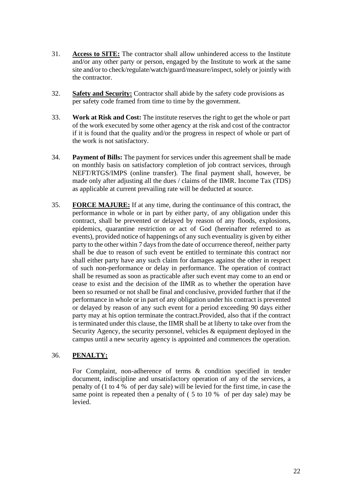- 31. **Access to SITE:** The contractor shall allow unhindered access to the Institute and/or any other party or person, engaged by the Institute to work at the same site and/or to check/regulate/watch/guard/measure/inspect, solely or jointly with the contractor.
- 32. **Safety and Security:** Contractor shall abide by the safety code provisions as per safety code framed from time to time by the government.
- 33. **Work at Risk and Cost:** The institute reserves the right to get the whole or part of the work executed by some other agency at the risk and cost of the contractor if it is found that the quality and/or the progress in respect of whole or part of the work is not satisfactory.
- 34. **Payment of Bills:** The payment for services under this agreement shall be made on monthly basis on satisfactory completion of job contract services, through NEFT/RTGS/IMPS (online transfer). The final payment shall, however, be made only after adjusting all the dues / claims of the IIMR. Income Tax (TDS) as applicable at current prevailing rate will be deducted at source.
- 35. **FORCE MAJURE:** If at any time, during the continuance of this contract, the performance in whole or in part by either party, of any obligation under this contract, shall be prevented or delayed by reason of any floods, explosions, epidemics, quarantine restriction or act of God (hereinafter referred to as events), provided notice of happenings of any such eventuality is given by either party to the other within 7 days from the date of occurrence thereof, neither party shall be due to reason of such event be entitled to terminate this contract nor shall either party have any such claim for damages against the other in respect of such non-performance or delay in performance. The operation of contract shall be resumed as soon as practicable after such event may come to an end or cease to exist and the decision of the IIMR as to whether the operation have been so resumed or not shall be final and conclusive, provided further that if the performance in whole or in part of any obligation under his contract is prevented or delayed by reason of any such event for a period exceeding 90 days either party may at his option terminate the contract.Provided, also that if the contract is terminated under this clause, the IIMR shall be at liberty to take over from the Security Agency, the security personnel, vehicles & equipment deployed in the campus until a new security agency is appointed and commences the operation.

#### 36. **PENALTY:**

For Complaint, non-adherence of terms & condition specified in tender document, indiscipline and unsatisfactory operation of any of the services, a penalty of (1 to 4 % of per day sale) will be levied for the first time, in case the same point is repeated then a penalty of ( 5 to 10 % of per day sale) may be levied.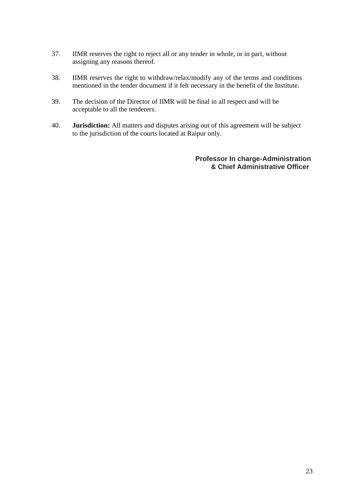- 37. IIMR reserves the right to reject all or any tender in whole, or in part, without assigning any reasons thereof.
- 38. IIMR reserves the right to withdraw/relax/modify any of the terms and conditions mentioned in the tender document if it felt necessary in the benefit of the Institute.
- 39. The decision of the Director of IIMR will be final in all respect and will be acceptable to all the tenderers.
- 40. **Jurisdiction:** All matters and disputes arising out of this agreement will be subject to the jurisdiction of the courts located at Raipur only.

**Professor In charge-Administration & Chief Administrative Officer**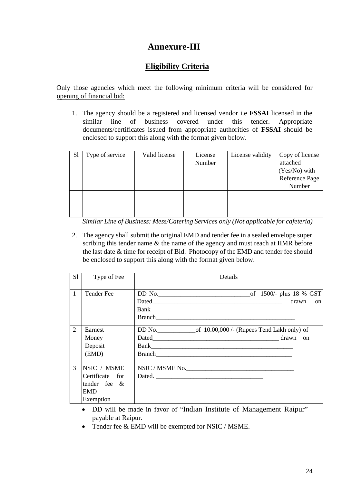## **Annexure-III**

### **Eligibility Criteria**

Only those agencies which meet the following minimum criteria will be considered for opening of financial bid:

1. The agency should be a registered and licensed vendor i.e **FSSAI** licensed in the similar line of business covered under this tender. Appropriate documents/certificates issued from appropriate authorities of **FSSAI** should be enclosed to support this along with the format given below.

| S <sub>1</sub> | Type of service | Valid license | License<br>Number | License validity | Copy of license<br>attached<br>(Yes/No) with<br>Reference Page<br>Number |
|----------------|-----------------|---------------|-------------------|------------------|--------------------------------------------------------------------------|
|                |                 |               |                   |                  |                                                                          |

 *Similar Line of Business: Mess/Catering Services only (Not applicable for cafeteria)*

2. The agency shall submit the original EMD and tender fee in a sealed envelope super scribing this tender name & the name of the agency and must reach at IIMR before the last date & time for receipt of Bid. Photocopy of the EMD and tender fee should be enclosed to support this along with the format given below.

| S1            | Type of Fee                                                                  | Details                                                                      |
|---------------|------------------------------------------------------------------------------|------------------------------------------------------------------------------|
| $\mathbf{1}$  | Tender Fee                                                                   | drawn<br>$\alpha$                                                            |
| 2             | Earnest<br>Money<br>Deposit<br>(EMD)                                         | DD No. $\qquad$ of 10.00,000 /- (Rupees Tend Lakh only) of<br>Dated drawn on |
| $\mathcal{R}$ | NSIC / MSME<br>Certificate for<br>tender fee $\&$<br><b>EMD</b><br>Exemption | NSIC / MSME No.<br>Dated.                                                    |

- DD will be made in favor of "Indian Institute of Management Raipur" payable at Raipur.
- Tender fee & EMD will be exempted for NSIC / MSME.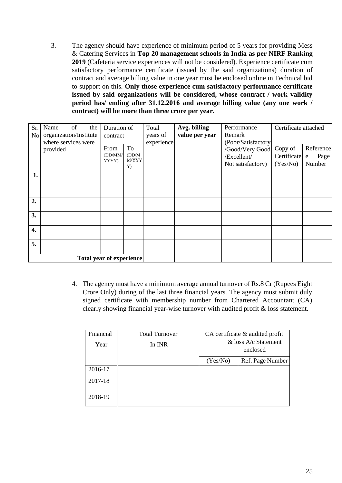3. The agency should have experience of minimum period of 5 years for providing Mess & Catering Services in **Top 20 management schools in India as per NIRF Ranking 2019** (Cafeteria service experiences will not be considered). Experience certificate cum satisfactory performance certificate (issued by the said organizations) duration of contract and average billing value in one year must be enclosed online in Technical bid to support on this. **Only those experience cum satisfactory performance certificate issued by said organizations will be considered, whose contract / work validity period has/ ending after 31.12.2016 and average billing value (any one work / contract) will be more than three crore per year.**

| Sr.<br>N <sub>o</sub> | of<br>Name<br>the<br>organization/Institute<br>where services were | Duration of<br>contract  |                             | Total<br>years of<br>experience | Avg. billing<br>value per year | Performance<br>Remark<br>(Poor/Satisfactory<br>/Good/Very Good<br>/Excellent/<br>Not satisfactory) | Certificate attached               |                                  |
|-----------------------|--------------------------------------------------------------------|--------------------------|-----------------------------|---------------------------------|--------------------------------|----------------------------------------------------------------------------------------------------|------------------------------------|----------------------------------|
|                       | provided                                                           | From<br>(DD/MM)<br>YYYY) | To<br>(DD/M)<br>M/YYY<br>Y) |                                 |                                |                                                                                                    | Copy of<br>Certificate<br>(Yes/No) | Reference<br>Page<br>e<br>Number |
| 1.                    |                                                                    |                          |                             |                                 |                                |                                                                                                    |                                    |                                  |
| 2.                    |                                                                    |                          |                             |                                 |                                |                                                                                                    |                                    |                                  |
| 3.                    |                                                                    |                          |                             |                                 |                                |                                                                                                    |                                    |                                  |
| 4.                    |                                                                    |                          |                             |                                 |                                |                                                                                                    |                                    |                                  |
| 5.                    |                                                                    |                          |                             |                                 |                                |                                                                                                    |                                    |                                  |
|                       | <b>Total year of experience</b>                                    |                          |                             |                                 |                                |                                                                                                    |                                    |                                  |

4. The agency must have a minimum average annual turnover of Rs.8 Cr (Rupees Eight Crore Only) during of the last three financial years. The agency must submit duly signed certificate with membership number from Chartered Accountant (CA) clearly showing financial year-wise turnover with audited profit & loss statement.

| Financial | <b>Total Turnover</b> |                                  | CA certificate & audited profit |
|-----------|-----------------------|----------------------------------|---------------------------------|
| Year      | In INR                | & loss A/c Statement<br>enclosed |                                 |
|           |                       | (Yes/No)                         | Ref. Page Number                |
| 2016-17   |                       |                                  |                                 |
| 2017-18   |                       |                                  |                                 |
| 2018-19   |                       |                                  |                                 |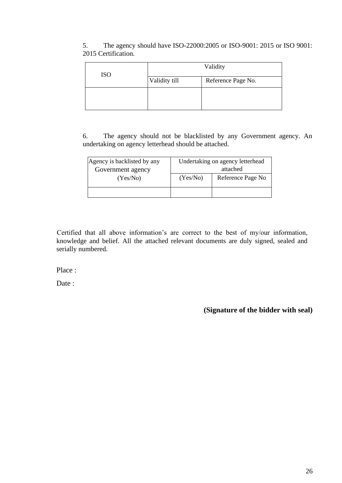| <b>ISO</b> | Validity      |                    |  |
|------------|---------------|--------------------|--|
|            | Validity till | Reference Page No. |  |
|            |               |                    |  |
|            |               |                    |  |

5. The agency should have ISO-22000:2005 or ISO-9001: 2015 or ISO 9001: 2015 Certification.

6. The agency should not be blacklisted by any Government agency. An undertaking on agency letterhead should be attached.

| Agency is backlisted by any<br>Government agency | Undertaking on agency letterhead<br>attached |                   |  |
|--------------------------------------------------|----------------------------------------------|-------------------|--|
| (Yes/No)                                         | (Yes/No)                                     | Reference Page No |  |
|                                                  |                                              |                   |  |

Certified that all above information's are correct to the best of my/our information, knowledge and belief. All the attached relevant documents are duly signed, sealed and serially numbered.

Place :

Date :

**(Signature of the bidder with seal)**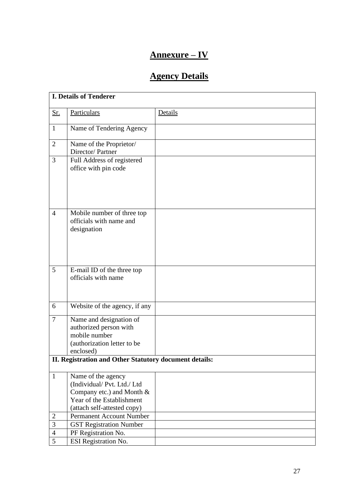# **Annexure – IV**

# **Agency Details**

|                | <b>I. Details of Tenderer</b>                                                                                                            |         |
|----------------|------------------------------------------------------------------------------------------------------------------------------------------|---------|
| <u>Sr.</u>     | Particulars                                                                                                                              | Details |
| $\mathbf{1}$   | Name of Tendering Agency                                                                                                                 |         |
| $\overline{2}$ | Name of the Proprietor/<br>Director/Partner                                                                                              |         |
| $\overline{3}$ | Full Address of registered<br>office with pin code                                                                                       |         |
| $\overline{4}$ | Mobile number of three top<br>officials with name and<br>designation                                                                     |         |
| 5              | E-mail ID of the three top<br>officials with name                                                                                        |         |
| 6              | Website of the agency, if any                                                                                                            |         |
| $\overline{7}$ | Name and designation of<br>authorized person with<br>mobile number<br>(authorization letter to be<br>enclosed)                           |         |
|                | II. Registration and Other Statutory document details:                                                                                   |         |
| $\mathbf{1}$   | Name of the agency<br>(Individual/Pvt. Ltd./Ltd<br>Company etc.) and Month &<br>Year of the Establishment<br>(attach self-attested copy) |         |
| $\sqrt{2}$     | Permanent Account Number                                                                                                                 |         |
| 3              | <b>GST Registration Number</b>                                                                                                           |         |
| $\overline{4}$ | PF Registration No.                                                                                                                      |         |
| 5              | ESI Registration No.                                                                                                                     |         |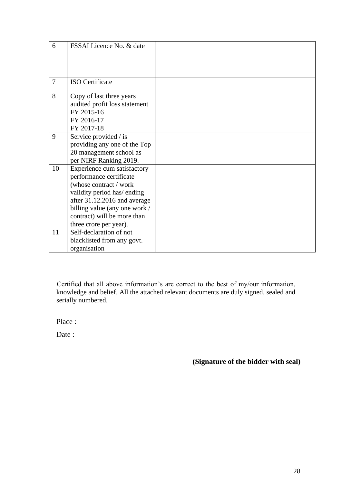| 6              | FSSAI Licence No. & date                                                                                                                                                                                                                  |  |
|----------------|-------------------------------------------------------------------------------------------------------------------------------------------------------------------------------------------------------------------------------------------|--|
| $\overline{7}$ | <b>ISO</b> Certificate                                                                                                                                                                                                                    |  |
| 8              | Copy of last three years<br>audited profit loss statement<br>FY 2015-16<br>FY 2016-17<br>FY 2017-18                                                                                                                                       |  |
| 9              | Service provided / is<br>providing any one of the Top<br>20 management school as<br>per NIRF Ranking 2019.                                                                                                                                |  |
| 10             | Experience cum satisfactory<br>performance certificate<br>(whose contract / work<br>validity period has/ ending<br>after 31.12.2016 and average<br>billing value (any one work /<br>contract) will be more than<br>three crore per year). |  |
| 11             | Self-declaration of not<br>blacklisted from any govt.<br>organisation                                                                                                                                                                     |  |

Certified that all above information's are correct to the best of my/our information, knowledge and belief. All the attached relevant documents are duly signed, sealed and serially numbered.

Place :

Date :

 **(Signature of the bidder with seal)**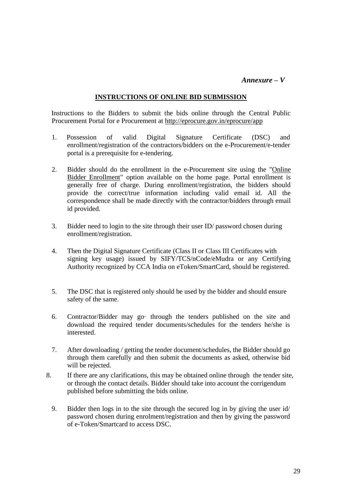#### *Annexure – V*

#### **INSTRUCTIONS OF ONLINE BID SUBMISSION**

 Instructions to the Bidders to submit the bids online through the Central Public Procurement Portal for e Procurement at<http://eprocure.gov.in/eprocure/app>

- 1. Possession of valid Digital Signature Certificate (DSC) and enrollment/registration of the contractors/bidders on the e-Procurement/e-tender portal is a prerequisite for e-tendering.
- 2. Bidder should do the enrollment in the e-Procurement site using the "Online Bidder Enrollment" option available on the home page. Portal enrollment is generally free of charge. During enrollment/registration, the bidders should provide the correct/true information including valid email id. All the correspondence shall be made directly with the contractor/bidders through email id provided.
- 3. Bidder need to login to the site through their user ID/ password chosen during enrollment/registration.
- 4. Then the Digital Signature Certificate (Class II or Class III Certificates with signing key usage) issued by SIFY/TCS/nCode/eMudra or any Certifying Authority recognized by CCA India on eToken/SmartCard, should be registered.
- 5. The DSC that is registered only should be used by the bidder and should ensure safety of the same.
- 6. Contractor/Bidder may go· through the tenders published on the site and download the required tender documents/schedules for the tenders he/she is interested.
- 7. After downloading / getting the tender document/schedules, the Bidder should go through them carefully and then submit the documents as asked, otherwise bid will be rejected.
- 8. If there are any clarifications, this may be obtained online through the tender site, or through the contact details. Bidder should take into account the corrigendum published before submitting the bids online.
	- 9. Bidder then logs in to the site through the secured log in by giving the user id/ password chosen during enrolment/registration and then by giving the password of e-Token/Smartcard to access DSC.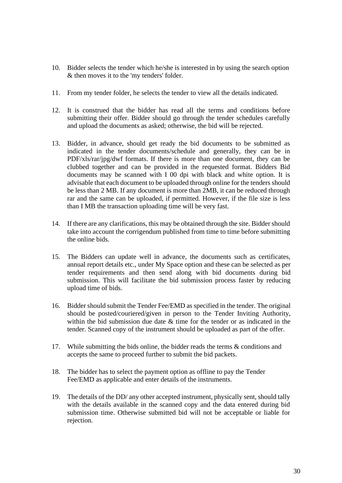- 10. Bidder selects the tender which he/she is interested in by using the search option & then moves it to the 'my tenders' folder.
- 11. From my tender folder, he selects the tender to view all the details indicated.
- 12. It is construed that the bidder has read all the terms and conditions before submitting their offer. Bidder should go through the tender schedules carefully and upload the documents as asked; otherwise, the bid will be rejected.
- 13. Bidder, in advance, should get ready the bid documents to be submitted as indicated in the tender documents/schedule and generally, they can be in PDF/xls/rar/jpg/dwf formats. If there is more than one document, they can be clubbed together and can be provided in the requested format. Bidders Bid documents may be scanned with I 00 dpi with black and white option. It is advisable that each document to be uploaded through online for the tenders should be less than 2 MB. If any document is more than 2MB, it can be reduced through rar and the same can be uploaded, if permitted. However, if the file size is less than I MB the transaction uploading time will be very fast.
- 14. If there are any clarifications, this may be obtained through the site. Bidder should take into account the corrigendum published from time to time before submitting the online bids.
- 15. The Bidders can update well in advance, the documents such as certificates, annual report details etc., under My Space option and these can be selected as per tender requirements and then send along with bid documents during bid submission. This will facilitate the bid submission process faster by reducing upload time of bids.
- 16. Bidder should submit the Tender Fee/EMD as specified in the tender. The original should be posted/couriered/given in person to the Tender Inviting Authority, within the bid submission due date & time for the tender or as indicated in the tender. Scanned copy of the instrument should be uploaded as part of the offer.
- 17. While submitting the bids online, the bidder reads the terms & conditions and accepts the same to proceed further to submit the bid packets.
- 18. The bidder has to select the payment option as offline to pay the Tender Fee/EMD as applicable and enter details of the instruments.
- 19. The details of the DD/ any other accepted instrument, physically sent, should tally with the details available in the scanned copy and the data entered during bid submission time. Otherwise submitted bid will not be acceptable or liable for rejection.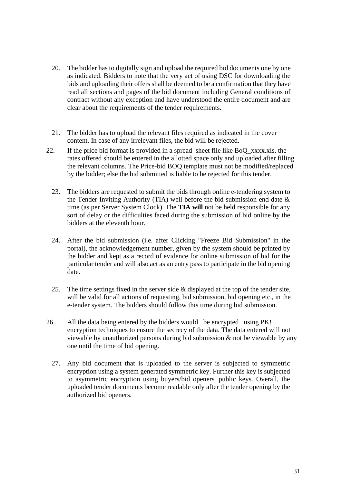- 20. The bidder has to digitally sign and upload the required bid documents one by one as indicated. Bidders to note that the very act of using DSC for downloading the bids and uploading their offers shall be deemed to be a confirmation that they have read all sections and pages of the bid document including General conditions of contract without any exception and have understood the entire document and are clear about the requirements of the tender requirements.
- 21. The bidder has to upload the relevant files required as indicated in the cover content. In case of any irrelevant files, the bid will be rejected.
- 22. If the price bid format is provided in a spread sheet file like BoQ\_xxxx.xls, the rates offered should be entered in the allotted space only and uploaded after filling the relevant columns. The Price-bid BOQ template must not be modified/replaced by the bidder; else the bid submitted is liable to be rejected for this tender.
	- 23. The bidders are requested to submit the bids through online e-tendering system to the Tender Inviting Authority (TIA) well before the bid submission end date  $\&$ time (as per Server System Clock). The **TIA will** not be held responsible for any sort of delay or the difficulties faced during the submission of bid online by the bidders at the eleventh hour.
	- 24. After the bid submission (i.e. after Clicking "Freeze Bid Submission" in the portal), the acknowledgement number, given by the system should be printed by the bidder and kept as a record of evidence for online submission of bid for the particular tender and will also act as an entry pass to participate in the bid opening date.
	- 25. The time settings fixed in the server side & displayed at the top of the tender site, will be valid for all actions of requesting, bid submission, bid opening etc., in the e-tender system. The bidders should follow this time during bid submission.
- 26. All the data being entered by the bidders would be encrypted using PK! encryption techniques to ensure the secrecy of the data. The data entered will not viewable by unauthorized persons during bid submission & not be viewable by any one until the time of bid opening.
	- 27. Any bid document that is uploaded to the server is subjected to symmetric encryption using a system generated symmetric key. Further this key is subjected to asymmetric encryption using buyers/bid openers' public keys. Overall, the uploaded tender documents become readable only after the tender opening by the authorized bid openers.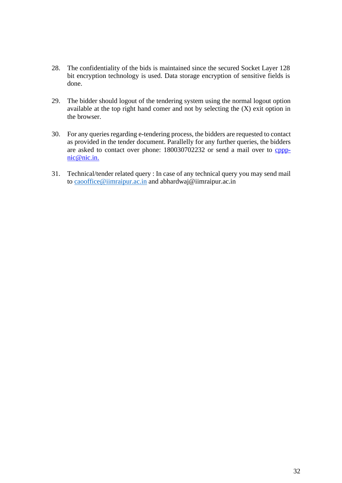- 28. The confidentiality of the bids is maintained since the secured Socket Layer 128 bit encryption technology is used. Data storage encryption of sensitive fields is done.
- 29. The bidder should logout of the tendering system using the normal logout option available at the top right hand comer and not by selecting the (X) exit option in the browser.
- 30. For any queries regarding e-tendering process, the bidders are requested to contact as provided in the tender document. Parallelly for any further queries, the bidders are asked to contact over phone: 180030702232 or send a mail over to [cppp](mailto:cppp-nic@nic.in.)[nic@nic.in.](mailto:cppp-nic@nic.in.)
- 31. Technical/tender related query : In case of any technical query you may send mail to [caooffice@iimraipur.ac.in](mailto:caooffice@iimraipur.ac.in) and abhardwaj@iimraipur.ac.in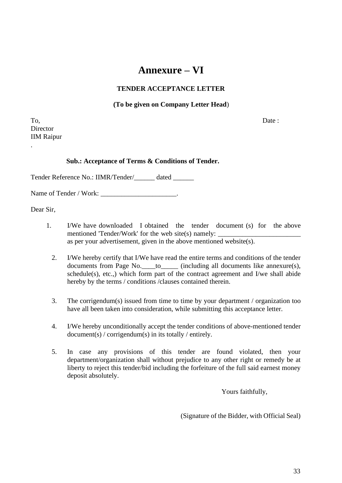# **Annexure – VI**

#### **TENDER ACCEPTANCE LETTER**

#### **(To be given on Company Letter Head**)

To, Date : **Director** IIM Raipur

.

#### **Sub.: Acceptance of Terms & Conditions of Tender.**

Tender Reference No.: IIMR/Tender/\_\_\_\_\_\_ dated \_\_\_\_\_\_

Name of Tender / Work: \_\_\_\_\_\_\_\_\_\_\_\_\_\_\_\_\_\_\_\_\_\_\_\_.

Dear Sir,

- 1. I/We have downloaded I obtained the tender document (s) for the above mentioned 'Tender/Work' for the web site(s) namely: as per your advertisement, given in the above mentioned website(s).
	- 2. I/We hereby certify that I/We have read the entire terms and conditions of the tender documents from Page No. \_\_\_\_to\_\_\_\_\_ (including all documents like annexure(s), schedule(s), etc.,) which form part of the contract agreement and I/we shall abide hereby by the terms / conditions / clauses contained therein.
	- 3. The corrigendum(s) issued from time to time by your department / organization too have all been taken into consideration, while submitting this acceptance letter.
	- 4. I/We hereby unconditionally accept the tender conditions of above-mentioned tender document(s) / corrigendum(s) in its totally / entirely.
	- 5. In case any provisions of this tender are found violated, then your department/organization shall without prejudice to any other right or remedy be at liberty to reject this tender/bid including the forfeiture of the full said earnest money deposit absolutely.

Yours faithfully,

(Signature of the Bidder, with Official Seal)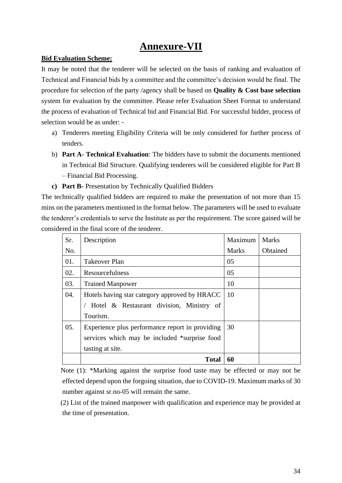# **Annexure-VII**

#### **Bid Evaluation Scheme:**

It may be noted that the tenderer will be selected on the basis of ranking and evaluation of Technical and Financial bids by a committee and the committee's decision would be final. The procedure for selection of the party /agency shall be based on **Quality & Cost base selection** system for evaluation by the committee. Please refer Evaluation Sheet Format to understand the process of evaluation of Technical bid and Financial Bid. For successful bidder, process of selection would be as under: -

- a) Tenderers meeting Eligibility Criteria will be only considered for further process of tenders.
- b) **Part A- Technical Evaluation**: The bidders have to submit the documents mentioned in Technical Bid Structure. Qualifying tenderers will be considered eligible for Part B – Financial Bid Processing.
- **c) Part B-** Presentation by Technically Qualified Bidders

The technically qualified bidders are required to make the presentation of not more than 15 mins on the parameters mentioned in the format below. The parameters will be used to evaluate the tenderer's credentials to serve the Institute as per the requirement. The score gained will be considered in the final score of the tenderer.

| Sr. | Description                                     | Maximum       | <b>Marks</b> |
|-----|-------------------------------------------------|---------------|--------------|
| No. |                                                 | <b>Marks</b>  | Obtained     |
| 01. | Takeover Plan                                   | 05            |              |
| 02. | Resourcefulness                                 | 05            |              |
| 03. | <b>Trained Manpower</b>                         | 10            |              |
| 04. | Hotels having star category approved by HRACC   | <sup>10</sup> |              |
|     | Hotel & Restaurant division, Ministry of        |               |              |
|     | Tourism.                                        |               |              |
| 05. | Experience plus performance report in providing | 30            |              |
|     | services which may be included *surprise food   |               |              |
|     | tasting at site.                                |               |              |
|     | <b>Total</b>                                    | 60            |              |

 Note (1): \*Marking against the surprise food taste may be effected or may not be effected depend upon the forgoing situation, due to COVID-19. Maximum marks of 30 number against sr.no-05 will remain the same.

 (2) List of the trained manpower with qualification and experience may be provided at the time of presentation.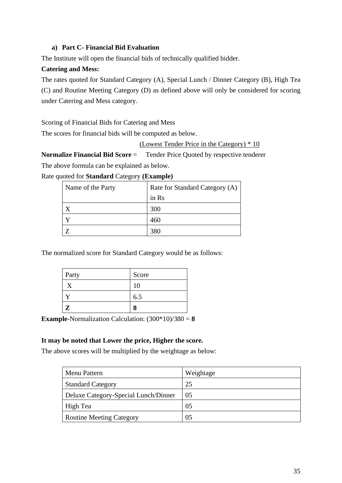#### **a) Part C- Financial Bid Evaluation**

The Institute will open the financial bids of technically qualified bidder.

#### **Catering and Mess:**

The rates quoted for Standard Category (A), Special Lunch / Dinner Category (B), High Tea (C) and Routine Meeting Category (D) as defined above will only be considered for scoring under Catering and Mess category.

Scoring of Financial Bids for Catering and Mess

The scores for financial bids will be computed as below.

(Lowest Tender Price in the Category) \* 10

**Normalize Financial Bid Score** = Tender Price Quoted by respective tenderer The above formula can be explained as below.

Rate quoted for **Standard** Category **(Example)**

| Name of the Party | Rate for Standard Category (A) |  |
|-------------------|--------------------------------|--|
|                   | in Rs                          |  |
|                   | 300                            |  |
|                   | 460                            |  |
|                   | 380                            |  |

The normalized score for Standard Category would be as follows:

| Party        | Score |
|--------------|-------|
|              | 10    |
|              | 6.5   |
| $\mathbf{Z}$ |       |

**Example**-Normalization Calculation:  $(300*10)/380 = 8$ 

#### **It may be noted that Lower the price, Higher the score.**

The above scores will be multiplied by the weightage as below:

| Menu Pattern                         | Weightage |
|--------------------------------------|-----------|
| <b>Standard Category</b>             | 25        |
| Deluxe Category-Special Lunch/Dinner | 05        |
| High Tea                             | 05        |
| <b>Routine Meeting Category</b>      | 05        |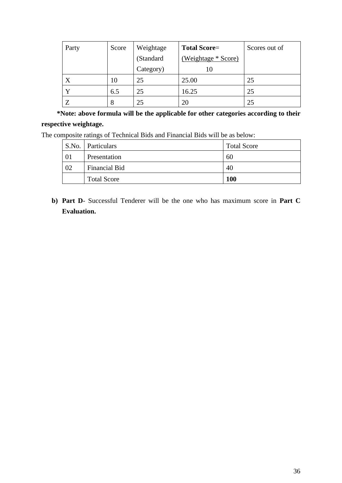| Party | Score | Weightage | <b>Total Score=</b> | Scores out of |
|-------|-------|-----------|---------------------|---------------|
|       |       | (Standard | (Weightage * Score) |               |
|       |       | Category) | 10                  |               |
| X     | 10    | 25        | 25.00               | 25            |
| v     | 6.5   | 25        | 16.25               | 25            |
|       | 8     | 25        | 20                  |               |

 **\*Note: above formula will be the applicable for other categories according to their respective weightage.**

The composite ratings of Technical Bids and Financial Bids will be as below:

|    | <b>S.No.</b> Particulars | <b>Total Score</b> |
|----|--------------------------|--------------------|
| 01 | Presentation             | 60                 |
| 02 | <b>Financial Bid</b>     | 40                 |
|    | <b>Total Score</b>       | <b>100</b>         |

**b) Part D**- Successful Tenderer will be the one who has maximum score in **Part C Evaluation.**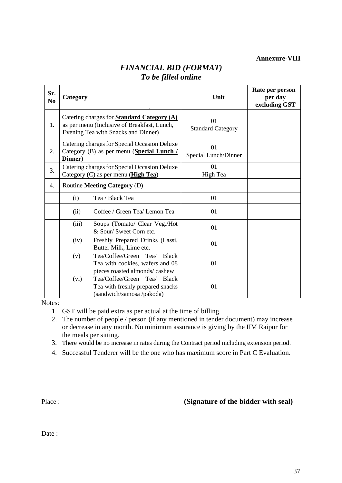**Annexure-VIII**

| Sr.<br>N <sub>0</sub> | Category                                                                                                                                |                                                                                                           | Unit                           | Rate per person<br>per day<br>excluding GST |
|-----------------------|-----------------------------------------------------------------------------------------------------------------------------------------|-----------------------------------------------------------------------------------------------------------|--------------------------------|---------------------------------------------|
| 1.                    | Catering charges for <b>Standard Category</b> (A)<br>as per menu (Inclusive of Breakfast, Lunch,<br>Evening Tea with Snacks and Dinner) |                                                                                                           | 01<br><b>Standard Category</b> |                                             |
| 2.                    | Catering charges for Special Occasion Deluxe<br>Category (B) as per menu (Special Lunch /<br>Dinner)                                    |                                                                                                           | 01<br>Special Lunch/Dinner     |                                             |
| 3.                    | Catering charges for Special Occasion Deluxe<br>Category $(C)$ as per menu ( <b>High Tea</b> )                                          |                                                                                                           | 01<br>High Tea                 |                                             |
| 4.                    |                                                                                                                                         | Routine Meeting Category (D)                                                                              |                                |                                             |
|                       | (i)                                                                                                                                     | Tea / Black Tea                                                                                           | 01                             |                                             |
|                       | (ii)                                                                                                                                    | Coffee / Green Tea/ Lemon Tea                                                                             | 01                             |                                             |
|                       | (iii)                                                                                                                                   | Soups (Tomato/ Clear Veg./Hot<br>& Sour/ Sweet Corn etc.                                                  | 01                             |                                             |
|                       | (iv)                                                                                                                                    | Freshly Prepared Drinks (Lassi,<br>Butter Milk, Lime etc.                                                 | 01                             |                                             |
|                       | (v)                                                                                                                                     | Tea/Coffee/Green Tea/<br><b>Black</b><br>Tea with cookies, wafers and 08<br>pieces roasted almonds/cashew | 01                             |                                             |
|                       | (vi)                                                                                                                                    | Tea/Coffee/Green<br>Tea/<br><b>Black</b><br>Tea with freshly prepared snacks<br>(sandwich/samosa/pakoda)  | 01                             |                                             |

### *FINANCIAL BID (FORMAT) To be filled online*

Notes:

- 1. GST will be paid extra as per actual at the time of billing.
- 2. The number of people / person (if any mentioned in tender document) may increase or decrease in any month. No minimum assurance is giving by the IIM Raipur for the meals per sitting.
- 3. There would be no increase in rates during the Contract period including extension period.
- 4. Successful Tenderer will be the one who has maximum score in Part C Evaluation.

#### Place : **(Signature of the bidder with seal)**

Date :